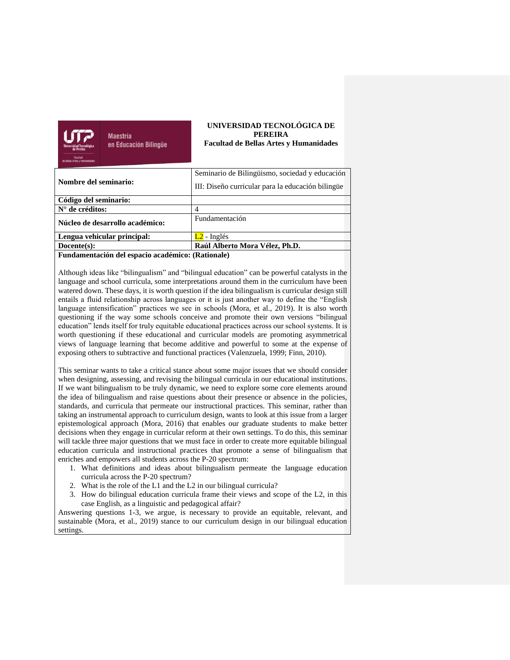

**Maestría** en Educación Bilingüe

### **UNIVERSIDAD TECNOLÓGICA DE PEREIRA Facultad de Bellas Artes y Humanidades**

| Nombre del seminario:           | Seminario de Bilingüismo, sociedad y educación    |
|---------------------------------|---------------------------------------------------|
|                                 | III: Diseño curricular para la educación bilingüe |
| Código del seminario:           |                                                   |
| $N^{\circ}$ de créditos:        | 4                                                 |
| Núcleo de desarrollo académico: | Fundamentación                                    |
| Lengua vehicular principal:     | $L2$ - Inglés                                     |
| $Docente(s)$ :                  | Raúl Alberto Mora Vélez, Ph.D.                    |
|                                 |                                                   |

**Fundamentación del espacio académico: (Rationale)**

Although ideas like "bilingualism" and "bilingual education" can be powerful catalysts in the language and school curricula, some interpretations around them in the curriculum have been watered down. These days, it is worth question if the idea bilingualism is curricular design still entails a fluid relationship across languages or it is just another way to define the "English language intensification" practices we see in schools (Mora, et al., 2019). It is also worth questioning if the way some schools conceive and promote their own versions "bilingual education" lends itself for truly equitable educational practices across our school systems. It is worth questioning if these educational and curricular models are promoting asymmetrical views of language learning that become additive and powerful to some at the expense of exposing others to subtractive and functional practices (Valenzuela, 1999; Finn, 2010).

This seminar wants to take a critical stance about some major issues that we should consider when designing, assessing, and revising the bilingual curricula in our educational institutions. If we want bilingualism to be truly dynamic, we need to explore some core elements around the idea of bilingualism and raise questions about their presence or absence in the policies, standards, and curricula that permeate our instructional practices. This seminar, rather than taking an instrumental approach to curriculum design, wants to look at this issue from a larger epistemological approach (Mora, 2016) that enables our graduate students to make better decisions when they engage in curricular reform at their own settings. To do this, this seminar will tackle three major questions that we must face in order to create more equitable bilingual education curricula and instructional practices that promote a sense of bilingualism that enriches and empowers all students across the P-20 spectrum:

- 1. What definitions and ideas about bilingualism permeate the language education curricula across the P-20 spectrum?
- 2. What is the role of the L1 and the L2 in our bilingual curricula?
- 3. How do bilingual education curricula frame their views and scope of the L2, in this case English, as a linguistic and pedagogical affair?

Answering questions 1-3, we argue, is necessary to provide an equitable, relevant, and sustainable (Mora, et al., 2019) stance to our curriculum design in our bilingual education settings.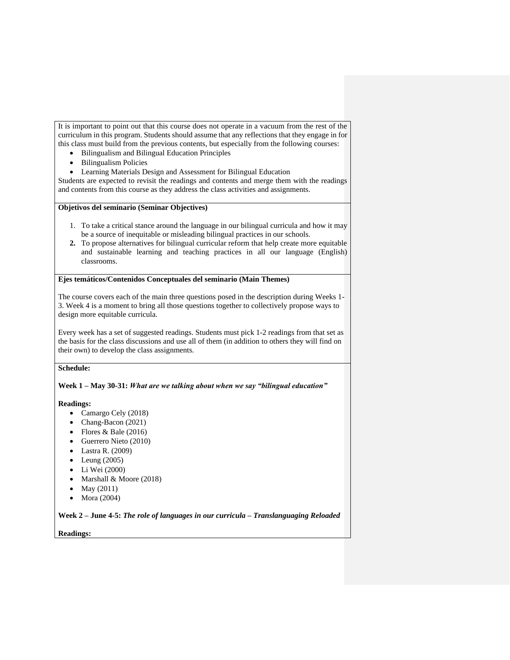It is important to point out that this course does not operate in a vacuum from the rest of the curriculum in this program. Students should assume that any reflections that they engage in for this class must build from the previous contents, but especially from the following courses:

- Bilingualism and Bilingual Education Principles
- Bilingualism Policies
- Learning Materials Design and Assessment for Bilingual Education

Students are expected to revisit the readings and contents and merge them with the readings and contents from this course as they address the class activities and assignments.

### **Objetivos del seminario (Seminar Objectives)**

- 1. To take a critical stance around the language in our bilingual curricula and how it may be a source of inequitable or misleading bilingual practices in our schools.
- **2.** To propose alternatives for bilingual curricular reform that help create more equitable and sustainable learning and teaching practices in all our language (English) classrooms.

### **Ejes temáticos/Contenidos Conceptuales del seminario (Main Themes)**

The course covers each of the main three questions posed in the description during Weeks 1- 3. Week 4 is a moment to bring all those questions together to collectively propose ways to design more equitable curricula.

Every week has a set of suggested readings. Students must pick 1-2 readings from that set as the basis for the class discussions and use all of them (in addition to others they will find on their own) to develop the class assignments.

## **Schedule:**

### **Week 1 – May 30-31:** *What are we talking about when we say "bilingual education"*

### **Readings:**

- Camargo Cely (2018)
- Chang-Bacon (2021)
- Flores & Bale  $(2016)$
- Guerrero Nieto (2010)
- Lastra R. (2009)
- $\bullet$  Leung (2005)
- Li Wei (2000)
- Marshall & Moore (2018)
- May (2011)
- Mora (2004)

**Week 2 – June 4-5:** *The role of languages in our curricula – Translanguaging Reloaded*

### **Readings:**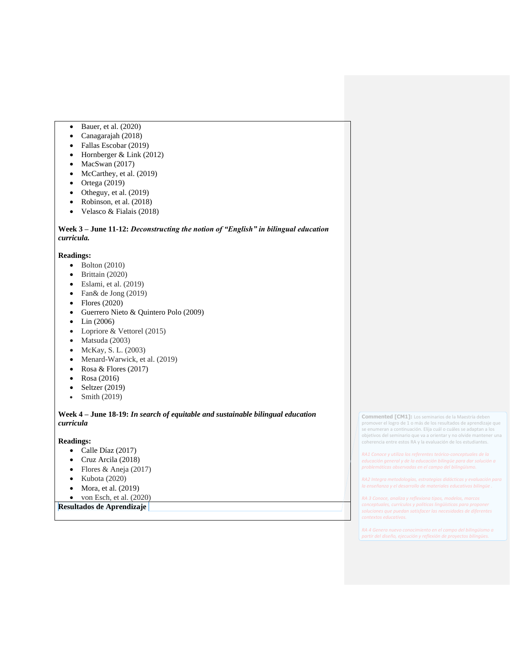- Bauer, et al. (2020)
- Canagarajah (2018)
- Fallas Escobar (2019)
- Hornberger & Link (2012)
- MacSwan (2017)
- McCarthey, et al. (2019)
- Ortega (2019)
- Otheguy, et al. (2019)
- Robinson, et al. (2018)
- Velasco & Fialais (2018)

# **Week 3 – June 11-12:** *Deconstructing the notion of "English" in bilingual education curricula.*

## **Readings:**

- $\bullet$  Bolton (2010)
- Brittain (2020)
- Eslami, et al. (2019)
- Fan& de Jong (2019)
- Flores (2020)
- Guerrero Nieto & Quintero Polo (2009)
- Lin (2006)
- Lopriore & Vettorel (2015)
- Matsuda (2003)
- McKay, S. L. (2003)
- Menard-Warwick, et al. (2019)
- Rosa & Flores (2017)
- Rosa (2016)
- Seltzer  $(2019)$
- Smith (2019)

## **Week 4 – June 18-19:** *In search of equitable and sustainable bilingual education curricula*

### **Readings:**

- Calle Díaz (2017)
- Cruz Arcila (2018)
- Flores & Aneja (2017)
- Kubota (2020)
- Mora, et al. (2019)
- $\bullet$  von Esch, et al. (2020)

**Resultados de Aprendizaje** 

**Commented [CM1]:** Los seminarios de la Maestría deben promover el logro de 1 o más de los resultados de aprendizaje que se enumeran a continuación. Elija cuál o cuáles se adaptan a los objetivos del seminario que va a orientar y no olvide mantener una coherencia entre estos RA y la evaluación de los estudiantes.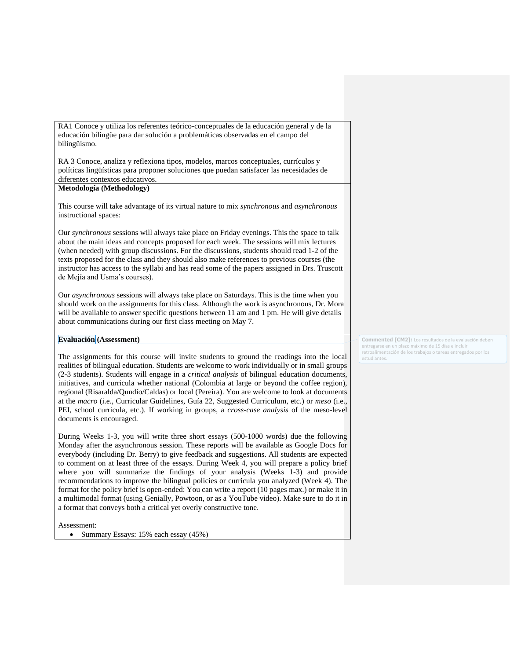RA1 Conoce y utiliza los referentes teórico-conceptuales de la educación general y de la educación bilingüe para dar solución a problemáticas observadas en el campo del bilingüismo.

RA 3 Conoce, analiza y reflexiona tipos, modelos, marcos conceptuales, currículos y políticas lingüísticas para proponer soluciones que puedan satisfacer las necesidades de diferentes contextos educativos.

### **Metodología (Methodology)**

This course will take advantage of its virtual nature to mix *synchronous* and *asynchronous* instructional spaces:

Our *synchronous* sessions will always take place on Friday evenings. This the space to talk about the main ideas and concepts proposed for each week. The sessions will mix lectures (when needed) with group discussions. For the discussions, students should read 1-2 of the texts proposed for the class and they should also make references to previous courses (the instructor has access to the syllabi and has read some of the papers assigned in Drs. Truscott de Mejía and Usma's courses).

Our *asynchronous* sessions will always take place on Saturdays. This is the time when you should work on the assignments for this class. Although the work is asynchronous, Dr. Mora will be available to answer specific questions between 11 am and 1 pm. He will give details about communications during our first class meeting on May 7.

# **Evaluación (Assessment)**

The assignments for this course will invite students to ground the readings into the local realities of bilingual education. Students are welcome to work individually or in small groups (2-3 students). Students will engage in a *critical analysis* of bilingual education documents, initiatives, and curricula whether national (Colombia at large or beyond the coffee region), regional (Risaralda/Qundío/Caldas) or local (Pereira). You are welcome to look at documents at the *macro* (i.e., Curricular Guidelines, Guía 22, Suggested Curriculum, etc.) or *meso* (i.e., PEI, school curricula, etc.). If working in groups, a *cross-case analysis* of the meso-level documents is encouraged.

During Weeks 1-3, you will write three short essays (500-1000 words) due the following Monday after the asynchronous session. These reports will be available as Google Docs for everybody (including Dr. Berry) to give feedback and suggestions. All students are expected to comment on at least three of the essays. During Week 4, you will prepare a policy brief where you will summarize the findings of your analysis (Weeks 1-3) and provide recommendations to improve the bilingual policies or curricula you analyzed (Week 4). The format for the policy brief is open-ended: You can write a report (10 pages max.) or make it in a multimodal format (using Genially, Powtoon, or as a YouTube video). Make sure to do it in a format that conveys both a critical yet overly constructive tone.

Assessment:

• Summary Essays: 15% each essay (45%)

**Commented [CM2]:** Los resultados de la evaluación debe entregarse en un plazo máximo de 15 días e incluir retroalimentación de los trabajos o tareas entregados por los estudiantes.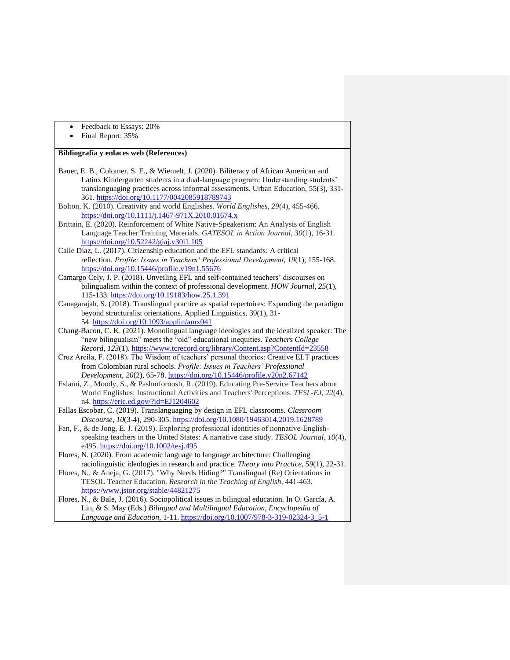- Feedback to Essays: 20%
- Final Report: 35%

## **Bibliografía y enlaces web (References)**

- Bauer, E. B., Colomer, S. E., & Wiemelt, J. (2020). Biliteracy of African American and Latinx Kindergarten students in a dual-language program: Understanding students' translanguaging practices across informal assessments. Urban Education, 55(3), 331- 361.<https://doi.org/10.1177/0042085918789743>
- Bolton, K. (2010). Creativity and world Englishes. *World Englishes*, *29*(4), 455-466. <https://doi.org/10.1111/j.1467-971X.2010.01674.x>
- Brittain, E. (2020). Reinforcement of White Native-Speakerism: An Analysis of English Language Teacher Training Materials. *GATESOL in Action Journal*, *30*(1), 16-31. <https://doi.org/10.52242/giaj.v30i1.105>
- Calle Díaz, L. (2017). Citizenship education and the EFL standards: A critical reflection. *Profile: Issues in Teachers' Professional Development*, *19*(1), 155-168. <https://doi.org/10.15446/profile.v19n1.55676>
- Camargo Cely, J. P. (2018). Unveiling EFL and self-contained teachers' discourses on bilingualism within the context of professional development. *HOW Journal*, *25*(1), 115-133.<https://doi.org/10.19183/how.25.1.391>
- Canagarajah, S. (2018). Translingual practice as spatial repertoires: Expanding the paradigm beyond structuralist orientations. Applied Linguistics, 39(1), 31- 54. <https://doi.org/10.1093/applin/amx041>
- Chang-Bacon, C. K. (2021). Monolingual language ideologies and the idealized speaker: The "new bilingualism" meets the "old" educational inequities. *Teachers College Record*, *123*(1). <https://www.tcrecord.org/library/Content.asp?ContentId=23558>
- Cruz Arcila, F. (2018). The Wisdom of teachers' personal theories: Creative ELT practices from Colombian rural schools. *Profile: Issues in Teachers' Professional Development*, *20*(2), 65-78.<https://doi.org/10.15446/profile.v20n2.67142>
- Eslami, Z., Moody, S., & Pashmforoosh, R. (2019). Educating Pre-Service Teachers about World Englishes: Instructional Activities and Teachers' Perceptions. *TESL-EJ*, *22*(4), n4.<https://eric.ed.gov/?id=EJ1204602>
- Fallas Escobar, C. (2019). Translanguaging by design in EFL classrooms. *Classroom Discourse, 10*(3-4), 290-305.<https://doi.org/10.1080/19463014.2019.1628789>
- Fan, F., & de Jong, E. J. (2019). Exploring professional identities of nonnative-Englishspeaking teachers in the United States: A narrative case study. *TESOL Journal*, *10*(4), e495.<https://doi.org/10.1002/tesj.495>
- Flores, N. (2020). From academic language to language architecture: Challenging raciolinguistic ideologies in research and practice. *Theory into Practice, 59*(1), 22-31.
- Flores, N., & Aneja, G. (2017). "Why Needs Hiding?" Translingual (Re) Orientations in TESOL Teacher Education. *Research in the Teaching of English*, 441-463. <https://www.jstor.org/stable/44821275>
- Flores, N., & Bale, J. (2016). Sociopolitical issues in bilingual education. In O. García, A. Lin, & S. May (Eds.) *Bilingual and Multilingual Education, Encyclopedia of Language and Education*, 1-11. [https://doi.org/10.1007/978-3-319-02324-3\\_5-1](https://doi.org/10.1007/978-3-319-02324-3_5-1)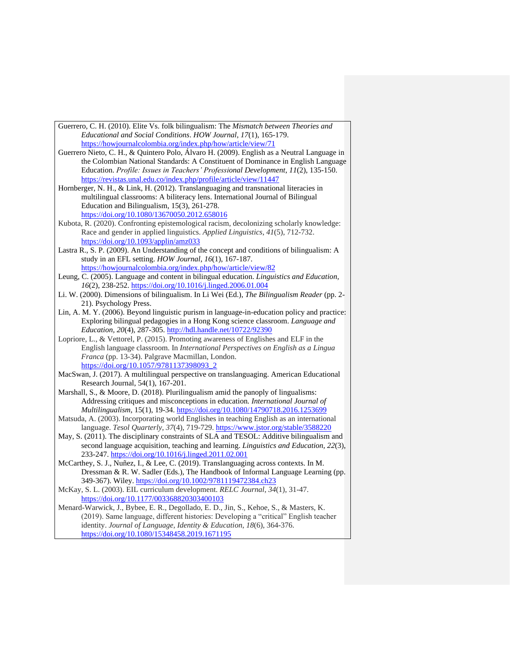| Guerrero, C. H. (2010). Elite Vs. folk bilingualism: The <i>Mismatch between Theories and</i> |
|-----------------------------------------------------------------------------------------------|
| Educational and Social Conditions. HOW Journal, 17(1), 165-179.                               |
| https://howjournalcolombia.org/index.php/how/article/view/71                                  |

- Guerrero Nieto, C. H., & Quintero Polo, Álvaro H. (2009). English as a Neutral Language in the Colombian National Standards: A Constituent of Dominance in English Language Education. *Profile: Issues in Teachers' Professional Development*, *11*(2), 135-150. <https://revistas.unal.edu.co/index.php/profile/article/view/11447>
- Hornberger, N. H., & Link, H. (2012). Translanguaging and transnational literacies in multilingual classrooms: A biliteracy lens. International Journal of Bilingual Education and Bilingualism, 15(3), 261-278. <https://doi.org/10.1080/13670050.2012.658016>
- Kubota, R. (2020). Confronting epistemological racism, decolonizing scholarly knowledge: Race and gender in applied linguistics. *Applied Linguistics*, *41*(5), 712-732. <https://doi.org/10.1093/applin/amz033>
- Lastra R., S. P. (2009). An Understanding of the concept and conditions of bilingualism: A study in an EFL setting. *HOW Journal*, *16*(1), 167-187. <https://howjournalcolombia.org/index.php/how/article/view/82>
- Leung, C. (2005). Language and content in bilingual education. *Linguistics and Education, 16*(2), 238-252.<https://doi.org/10.1016/j.linged.2006.01.004>
- Li. W. (2000). Dimensions of bilingualism. In Li Wei (Ed.), *The Bilingualism Reader* (pp. 2- 21). Psychology Press.
- Lin, A. M. Y. (2006). Beyond linguistic purism in language-in-education policy and practice: Exploring bilingual pedagogies in a Hong Kong science classroom. *Language and Education, 20*(4), 287-305.<http://hdl.handle.net/10722/92390>
- Lopriore, L., & Vettorel, P. (2015). Promoting awareness of Englishes and ELF in the English language classroom. In *International Perspectives on English as a Lingua Franca* (pp. 13-34). Palgrave Macmillan, London. [https://doi.org/10.1057/9781137398093\\_2](https://doi.org/10.1057/9781137398093_2)
- MacSwan, J. (2017). A multilingual perspective on translanguaging. American Educational Research Journal, 54(1), 167-201.
- Marshall, S., & Moore, D. (2018). Plurilingualism amid the panoply of lingualisms: Addressing critiques and misconceptions in education*. International Journal of Multilingualism*, 15(1), 19-34[. https://doi.org/10.1080/14790718.2016.1253699](https://doi.org/10.1080/14790718.2016.1253699)
- Matsuda, A. (2003). Incorporating world Englishes in teaching English as an international language. *Tesol Quarterly*, *37*(4), 719-729.<https://www.jstor.org/stable/3588220>
- May, S. (2011). The disciplinary constraints of SLA and TESOL: Additive bilingualism and second language acquisition, teaching and learning. *Linguistics and Education, 22*(3), 233-247.<https://doi.org/10.1016/j.linged.2011.02.001>
- McCarthey, S. J., Nuñez, I., & Lee, C. (2019). Translanguaging across contexts. In M. Dressman & R. W. Sadler (Eds.), The Handbook of Informal Language Learning (pp. 349-367). Wiley.<https://doi.org/10.1002/9781119472384.ch23>
- McKay, S. L. (2003). EIL curriculum development. *RELC Journal*, *34*(1), 31-47. <https://doi.org/10.1177/003368820303400103>
- Menard-Warwick, J., Bybee, E. R., Degollado, E. D., Jin, S., Kehoe, S., & Masters, K. (2019). Same language, different histories: Developing a "critical" English teacher identity. *Journal of Language, Identity & Education*, *18*(6), 364-376. <https://doi.org/10.1080/15348458.2019.1671195>